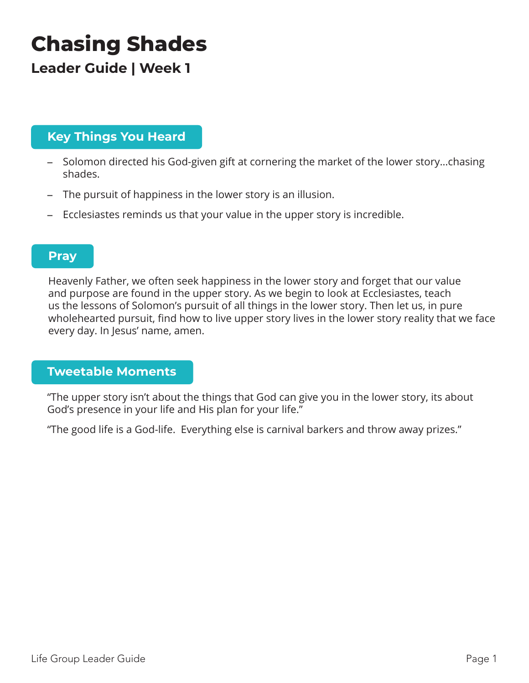# **Chasing Shades**

**Leader Guide | Week 1**

## **Key Things You Heard**

- Solomon directed his God-given gift at cornering the market of the lower story…chasing shades.
- The pursuit of happiness in the lower story is an illusion.
- Ecclesiastes reminds us that your value in the upper story is incredible.

### **Pray**

Heavenly Father, we often seek happiness in the lower story and forget that our value and purpose are found in the upper story. As we begin to look at Ecclesiastes, teach us the lessons of Solomon's pursuit of all things in the lower story. Then let us, in pure wholehearted pursuit, find how to live upper story lives in the lower story reality that we face every day. In Jesus' name, amen.

#### **Tweetable Moments**

"The upper story isn't about the things that God can give you in the lower story, its about God's presence in your life and His plan for your life."

"The good life is a God-life. Everything else is carnival barkers and throw away prizes."